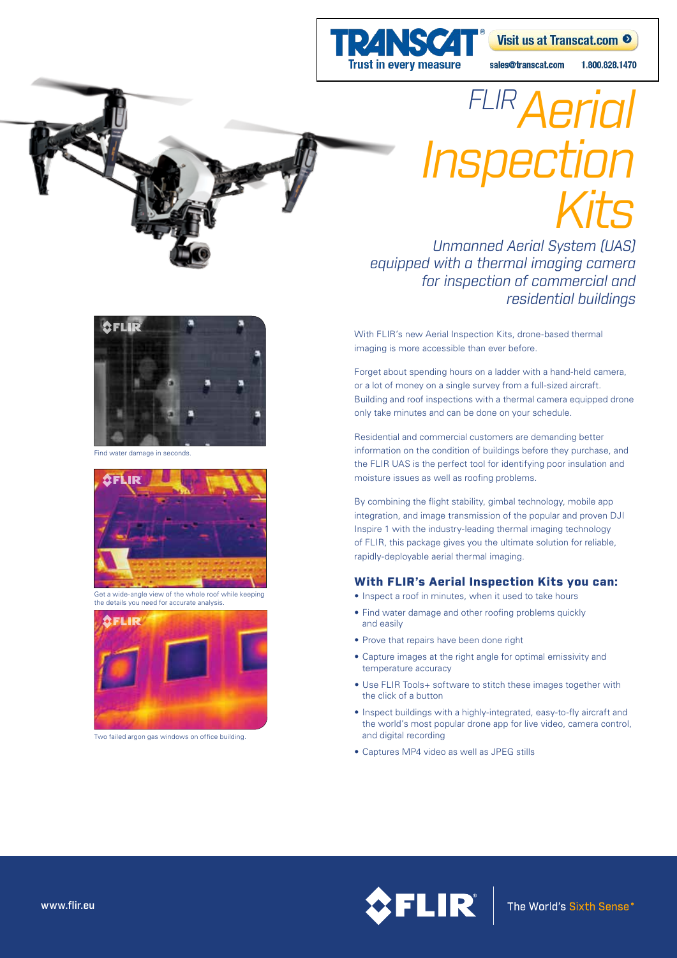

## 1.800.828.1470

# *FLIRAerial Inspection Kits*

*Unmanned Aerial System (UAS) equipped with a thermal imaging camera for inspection of commercial and residential buildings*

With FLIR's new Aerial Inspection Kits, drone-based thermal imaging is more accessible than ever before.

Forget about spending hours on a ladder with a hand-held camera, or a lot of money on a single survey from a full-sized aircraft. Building and roof inspections with a thermal camera equipped drone only take minutes and can be done on your schedule.

Residential and commercial customers are demanding better information on the condition of buildings before they purchase, and the FLIR UAS is the perfect tool for identifying poor insulation and moisture issues as well as roofing problems.

By combining the flight stability, gimbal technology, mobile app integration, and image transmission of the popular and proven DJI Inspire 1 with the industry-leading thermal imaging technology of FLIR, this package gives you the ultimate solution for reliable, rapidly-deployable aerial thermal imaging.

## With FLIR's Aerial Inspection Kits you can:

- Inspect a roof in minutes, when it used to take hours
- Find water damage and other roofing problems quickly and easily
- Prove that repairs have been done right
- Capture images at the right angle for optimal emissivity and temperature accuracy
- Use FLIR Tools+ software to stitch these images together with the click of a button
- Inspect buildings with a highly-integrated, easy-to-fly aircraft and the world's most popular drone app for live video, camera control, and digital recording
- Captures MP4 video as well as JPEG stills





ind water damage in seconds



Get a wide-angle view of the whole roof while keeping the details you need for accurate analysis.



Two failed argon gas windows on office building.